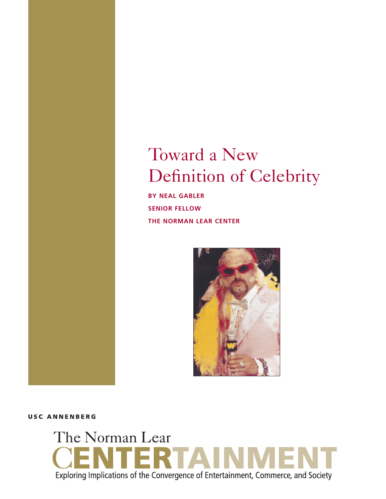# Toward a New Definition of Celebrity

**BY NEAL GABLER SENIOR FELLOW THE NORMAN LEAR CENTER**



**USC ANNENBERG** 

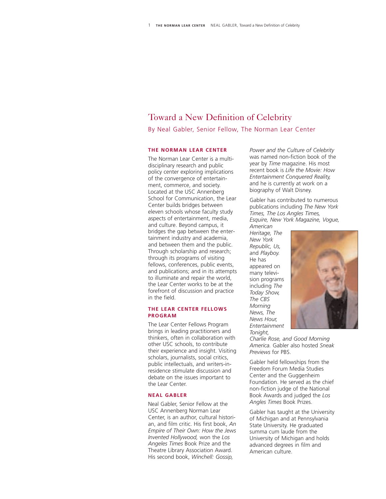## Toward a New Definition of Celebrity

By Neal Gabler, Senior Fellow, The Norman Lear Center

#### **THE NORMAN LEAR CENTER**

The Norman Lear Center is a multidisciplinary research and public policy center exploring implications of the convergence of entertainment, commerce, and society. Located at the USC Annenberg School for Communication, the Lear Center builds bridges between eleven schools whose faculty study aspects of entertainment, media, and culture. Beyond campus, it bridges the gap between the entertainment industry and academia, and between them and the public. Through scholarship and research; through its programs of visiting fellows, conferences, public events, and publications; and in its attempts to illuminate and repair the world, the Lear Center works to be at the forefront of discussion and practice in the field.

#### **THE LEAR CENTER FELLOWS PROGRAM**

The Lear Center Fellows Program brings in leading practitioners and thinkers, often in collaboration with other USC schools, to contribute their experience and insight. Visiting scholars, journalists, social critics, public intellectuals, and writers-inresidence stimulate discussion and debate on the issues important to the Lear Center.

#### **NEAL GABLER**

Neal Gabler, Senior Fellow at the USC Annenberg Norman Lear Center, is an author, cultural historian, and film critic. His first book, *An Empire of Their Own: How the Jews Invented Hollywood,* won the *Los Angeles Times* Book Prize and the Theatre Library Association Award. His second book, *Winchell: Gossip,*

*Power and the Culture of Celebrity* was named non-fiction book of the year by *Time* magazine. His most recent book is *Life the Movie: How Entertainment Conquered Reality,* and he is currently at work on a biography of Walt Disney.

Gabler has contributed to numerous publications including *The New York Times, The Los Angles Times, Esquire, New York Magazine, Vogue, American*

*Heritage, The New York Republic, Us,* and *Playboy.* He has appeared on many television programs including *The Today Show, The CBS Morning News, The News Hour, Entertainment Tonight,*



*Charlie Rose, and Good Morning America.* Gabler also hosted *Sneak Previews* for PBS.

Gabler held fellowships from the Freedom Forum Media Studies Center and the Guggenheim Foundation. He served as the chief non-fiction judge of the National Book Awards and judged the *Los Angles Times* Book Prizes.

Gabler has taught at the University of Michigan and at Pennsylvania State University. He graduated summa cum laude from the University of Michigan and holds advanced degrees in film and American culture.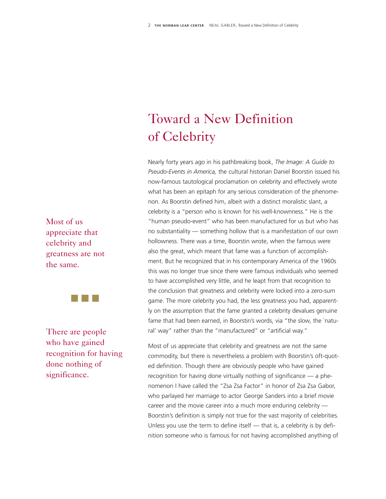## Toward a New Definition of Celebrity

Nearly forty years ago in his pathbreaking book, *The Image: A Guide to Pseudo-Events in America,* the cultural historian Daniel Boorstin issued his now-famous tautological proclamation on celebrity and effectively wrote what has been an epitaph for any serious consideration of the phenomenon. As Boorstin defined him, albeit with a distinct moralistic slant, a celebrity is a "person who is known for his well-knownness." He is the "human pseudo-event" who has been manufactured for us but who has no substantiality –– something hollow that is a manifestation of our own hollowness. There was a time, Boorstin wrote, when the famous were also the great, which meant that fame was a function of accomplishment. But he recognized that in his contemporary America of the 1960s this was no longer true since there were famous individuals who seemed to have accomplished very little, and he leapt from that recognition to the conclusion that greatness and celebrity were locked into a zero-sum game. The more celebrity you had, the less greatness you had, apparently on the assumption that the fame granted a celebrity devalues genuine fame that had been earned, in Boorstin's words, via "the slow, the `natural' way" rather than the "manufactured" or "artificial way."

Most of us appreciate that celebrity and greatness are not the same commodity, but there is nevertheless a problem with Boorstin's oft-quoted definition. Though there are obviously people who have gained recognition for having done virtually nothing of significance — a phenomenon I have called the "Zsa Zsa Factor" in honor of Zsa Zsa Gabor, who parlayed her marriage to actor George Sanders into a brief movie career and the movie career into a much more enduring celebrity — Boorstin's definition is simply not true for the vast majority of celebrities. Unless you use the term to define itself — that is, a celebrity is by definition someone who is famous for not having accomplished anything of

Most of us appreciate that celebrity and greatness are not the same.



There are people who have gained recognition for having done nothing of significance.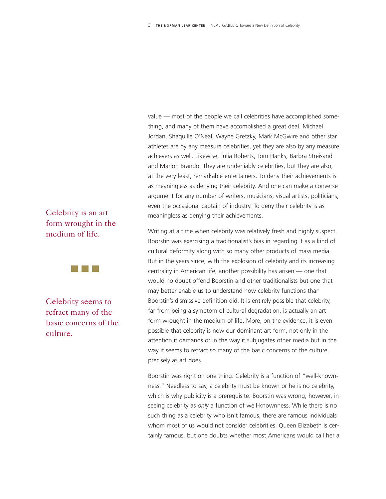value — most of the people we call celebrities have accomplished something, and many of them have accomplished a great deal. Michael Jordan, Shaquille O'Neal, Wayne Gretzky, Mark McGwire and other star athletes are by any measure celebrities, yet they are also by any measure achievers as well. Likewise, Julia Roberts, Tom Hanks, Barbra Streisand and Marlon Brando. They are undeniably celebrities, but they are also, at the very least, remarkable entertainers. To deny their achievements is as meaningless as denying their celebrity. And one can make a converse argument for any number of writers, musicians, visual artists, politicians, even the occasional captain of industry. To deny their celebrity is as meaningless as denying their achievements.

Writing at a time when celebrity was relatively fresh and highly suspect, Boorstin was exercising a traditionalist's bias in regarding it as a kind of cultural deformity along with so many other products of mass media. But in the years since, with the explosion of celebrity and its increasing centrality in American life, another possibility has arisen — one that would no doubt offend Boorstin and other traditionalists but one that may better enable us to understand how celebrity functions than Boorstin's dismissive definition did. It is entirely possible that celebrity, far from being a symptom of cultural degradation, is actually an art form wrought in the medium of life. More, on the evidence, it is even possible that celebrity is now our dominant art form, not only in the attention it demands or in the way it subjugates other media but in the way it seems to refract so many of the basic concerns of the culture, precisely as art does.

Boorstin was right on one thing: Celebrity is a function of "well-knownness." Needless to say, a celebrity must be known or he is no celebrity, which is why publicity is a prerequisite. Boorstin was wrong, however, in seeing celebrity as *only* a function of well-knownness. While there is no such thing as a celebrity who isn't famous, there are famous individuals whom most of us would not consider celebrities. Queen Elizabeth is certainly famous, but one doubts whether most Americans would call her a

## Celebrity is an art form wrought in the medium of life.



Celebrity seems to refract many of the basic concerns of the culture.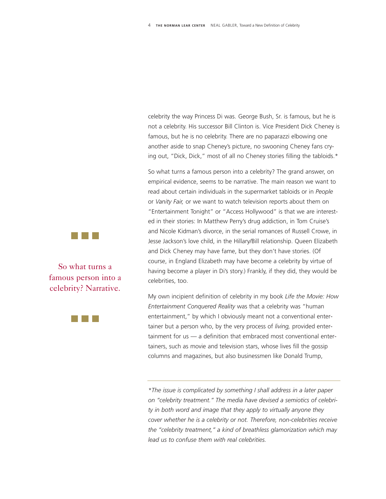celebrity the way Princess Di was. George Bush, Sr. is famous, but he is not a celebrity. His successor Bill Clinton is. Vice President Dick Cheney is famous, but he is no celebrity. There are no paparazzi elbowing one another aside to snap Cheney's picture, no swooning Cheney fans crying out, "Dick, Dick," most of all no Cheney stories filling the tabloids.\*

So what turns a famous person into a celebrity? The grand answer, on empirical evidence, seems to be narrative. The main reason we want to read about certain individuals in the supermarket tabloids or in *People* or *Vanity Fair,* or we want to watch television reports about them on "Entertainment Tonight" or "Access Hollywood" is that we are interested in their stories: In Matthew Perry's drug addiction, in Tom Cruise's and Nicole Kidman's divorce, in the serial romances of Russell Crowe, in Jesse Jackson's love child, in the Hillary/Bill relationship. Queen Elizabeth and Dick Cheney may have fame, but they don't have stories. (Of course, in England Elizabeth may have become a celebrity by virtue of having become a player in Di's story.) Frankly, if they did, they would be celebrities, too.

My own incipient definition of celebrity in my book *Life the Movie: How Entertainment Conquered Reality* was that a celebrity was "human entertainment," by which I obviously meant not a conventional entertainer but a person who, by the very process of *living,* provided entertainment for us — a definition that embraced most conventional entertainers, such as movie and television stars, whose lives fill the gossip columns and magazines, but also businessmen like Donald Trump,

*\*The issue is complicated by something I shall address in a later paper on "celebrity treatment." The media have devised a semiotics of celebrity in both word and image that they apply to virtually anyone they cover whether he is a celebrity or not. Therefore, non-celebrities receive the "celebrity treatment," a kind of breathless glamorization which may lead us to confuse them with real celebrities.*



So what turns a famous person into a celebrity? Narrative.

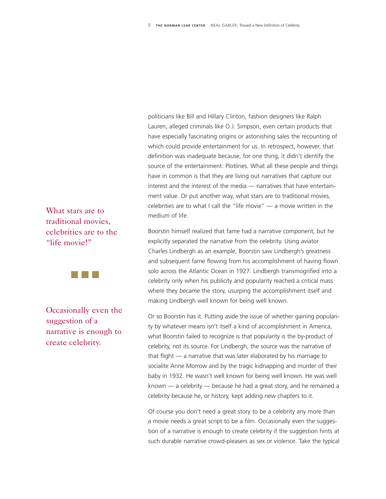politicians like Bill and Hillary Clinton, fashion designers like Ralph Lauren, alleged criminals like O.J. Simpson, even certain products that have especially fascinating origins or astonishing sales the recounting of which could provide entertainment for us. In retrospect, however, that definition was inadequate because, for one thing, it didn't identify the source of the entertainment: Plotlines. What all these people and things have in common is that they are living out narratives that capture our interest and the interest of the media — narratives that have entertainment value. Or put another way, what stars are to traditional movies, celebrities are to what I call the "life movie" — a movie written in the medium of life.

Boorstin himself realized that fame had a narrative component, but he explicitly separated the narrative from the celebrity. Using aviator Charles Lindbergh as an example, Boorstin saw Lindbergh's greatness and subsequent fame flowing from his accomplishment of having flown solo across the Atlantic Ocean in 1927. Lindbergh transmogrified into a celebrity only when his publicity and popularity reached a critical mass where they *became* the story, usurping the accomplishment itself and making Lindbergh well known for being well known.

Or so Boorstin has it. Putting aside the issue of whether gaining popularity by whatever means isn't itself a kind of accomplishment in America, what Boorstin failed to recognize is that popularity is the by-product of celebrity, not its source. For Lindbergh, the source was the narrative of that flight — a narrative that was later elaborated by his marriage to socialite Anne Morrow and by the tragic kidnapping and murder of their baby in 1932. He wasn't well known for being well known. He was well known — a celebrity — because he had a great story, and he remained a celebrity because he, or history, kept adding new chapters to it.

Of course you don't need a great story to be a celebrity any more than a movie needs a great script to be a film. Occasionally even the suggestion of a narrative is enough to create celebrity if the suggestion hints at such durable narrative crowd-pleasers as sex or violence. Take the typical

What stars are to traditional movies, celebrities are to the "life movie!"



Occasionally even the suggestion of a narrative is enough to create celebrity.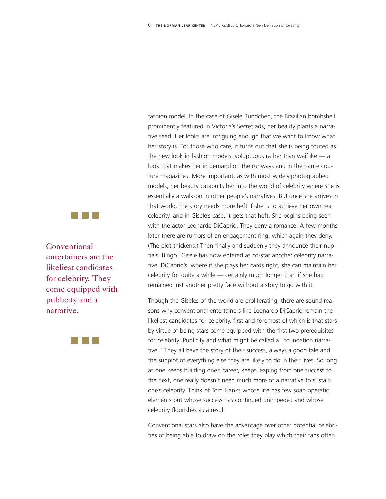Conventional entertainers are the likeliest candidates for celebrity. They come equipped with publicity and a narrative.



fashion model. In the case of Gisele Bündchen, the Brazilian bombshell prominently featured in Victoria's Secret ads, her beauty plants a narrative seed. Her looks are intriguing enough that we want to know what her story is. For those who care, it turns out that she is being touted as the new look in fashion models, voluptuous rather than waiflike — a look that makes her in demand on the runways and in the haute couture magazines. More important, as with most widely photographed models, her beauty catapults her into the world of celebrity where she is essentially a walk-on in other people's narratives. But once she arrives in that world, the story needs more heft if she is to achieve her own real celebrity, and in Gisele's case, it gets that heft. She begins being seen with the actor Leonardo DiCaprio. They deny a romance. A few months later there are rumors of an engagement ring, which again they deny. (The plot thickens.) Then finally and suddenly they announce their nuptials. Bingo! Gisele has now entered as co-star another celebrity narrative, DiCaprio's, where if she plays her cards right, she can maintain her celebrity for quite a while — certainly much longer than if she had remained just another pretty face without a story to go with it.

Though the Giseles of the world are proliferating, there are sound reasons why conventional entertainers like Leonardo DiCaprio remain the likeliest candidates for celebrity, first and foremost of which is that stars by virtue of being stars come equipped with the first two prerequisites for celebrity: Publicity and what might be called a "foundation narrative." They all have the story of their success, always a good tale and the subplot of everything else they are likely to do in their lives. So long as one keeps building one's career, keeps leaping from one success to the next, one really doesn't need much more of a narrative to sustain one's celebrity. Think of Tom Hanks whose life has few soap operatic elements but whose success has continued unimpeded and whose celebrity flourishes as a result.

Conventional stars also have the advantage over other potential celebrities of being able to draw on the roles they play which their fans often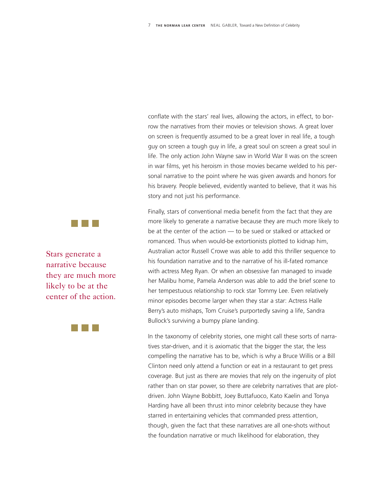conflate with the stars' real lives, allowing the actors, in effect, to borrow the narratives from their movies or television shows. A great lover on screen is frequently assumed to be a great lover in real life, a tough guy on screen a tough guy in life, a great soul on screen a great soul in life. The only action John Wayne saw in World War II was on the screen in war films, yet his heroism in those movies became welded to his personal narrative to the point where he was given awards and honors for his bravery. People believed, evidently wanted to believe, that it was his story and not just his performance.

Finally, stars of conventional media benefit from the fact that they are more likely to generate a narrative because they are much more likely to be at the center of the action — to be sued or stalked or attacked or romanced. Thus when would-be extortionists plotted to kidnap him, Australian actor Russell Crowe was able to add this thriller sequence to his foundation narrative and to the narrative of his ill-fated romance with actress Meg Ryan. Or when an obsessive fan managed to invade her Malibu home, Pamela Anderson was able to add the brief scene to her tempestuous relationship to rock star Tommy Lee. Even relatively minor episodes become larger when they star a star: Actress Halle Berry's auto mishaps, Tom Cruise's purportedly saving a life, Sandra Bullock's surviving a bumpy plane landing.

In the taxonomy of celebrity stories, one might call these sorts of narratives star-driven, and it is axiomatic that the bigger the star, the less compelling the narrative has to be, which is why a Bruce Willis or a Bill Clinton need only attend a function or eat in a restaurant to get press coverage. But just as there are movies that rely on the ingenuity of plot rather than on star power, so there are celebrity narratives that are plotdriven. John Wayne Bobbitt, Joey Buttafuoco, Kato Kaelin and Tonya Harding have all been thrust into minor celebrity because they have starred in entertaining vehicles that commanded press attention, though, given the fact that these narratives are all one-shots without the foundation narrative or much likelihood for elaboration, they



Stars generate a narrative because they are much more likely to be at the center of the action.

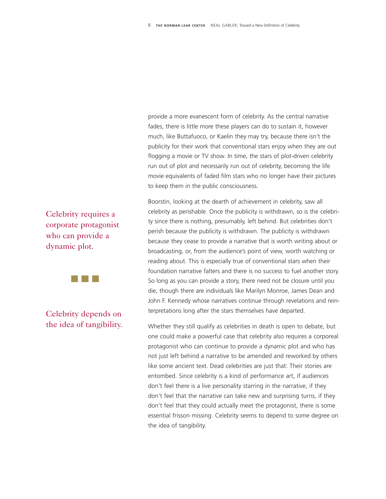provide a more evanescent form of celebrity. As the central narrative fades, there is little more these players can do to sustain it, however much, like Buttafuoco, or Kaelin they may try, because there isn't the publicity for their work that conventional stars enjoy when they are out flogging a movie or TV show. In time, the stars of plot-driven celebrity run out of plot and necessarily run out of celebrity, becoming the life movie equivalents of faded film stars who no longer have their pictures to keep them in the public consciousness.

Boorstin, looking at the dearth of achievement in celebrity, saw all celebrity as perishable. Once the publicity is withdrawn, so is the celebrity since there is nothing, presumably, left behind. But celebrities don't perish because the publicity is withdrawn. The publicity is withdrawn because they cease to provide a narrative that is worth writing about or broadcasting, or, from the audience's point of view, worth watching or reading about. This is especially true of conventional stars when their foundation narrative falters and there is no success to fuel another story. So long as you can provide a story, there need not be closure until you die, though there are individuals like Marilyn Monroe, James Dean and John F. Kennedy whose narratives continue through revelations and reinterpretations long after the stars themselves have departed.

Whether they still qualify as celebrities in death is open to debate, but one could make a powerful case that celebrity also requires a corporeal protagonist who can continue to provide a dynamic plot and who has not just left behind a narrative to be amended and reworked by others like some ancient text. Dead celebrities are just that: Their stories are entombed. Since celebrity is a kind of performance art, if audiences don't feel there is a live personality starring in the narrative, if they don't feel that the narrative can take new and surprising turns, if they don't feel that they could actually meet the protagonist, there is some essential frisson missing. Celebrity seems to depend to some degree on the idea of tangibility.

Celebrity requires a corporate protagonist who can provide a dynamic plot.



### Celebrity depends on the idea of tangibility.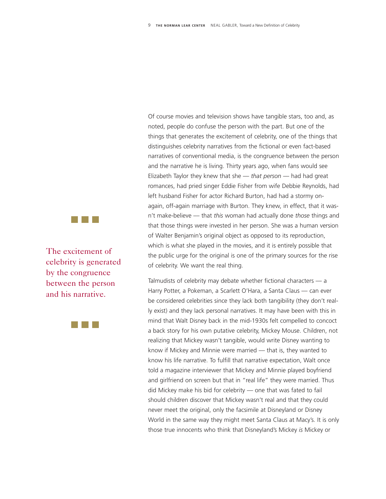noted, people do confuse the person with the part. But one of the things that generates the excitement of celebrity, one of the things that distinguishes celebrity narratives from the fictional or even fact-based narratives of conventional media, is the congruence between the person and the narrative he is living. Thirty years ago, when fans would see Elizabeth Taylor they knew that she — *that person* –– had had great romances, had pried singer Eddie Fisher from wife Debbie Reynolds, had left husband Fisher for actor Richard Burton, had had a stormy onagain, off-again marriage with Burton. They knew, in effect, that it wasn't make-believe –– that *this* woman had actually done *those* things and that those things were invested in her person. She was a human version of Walter Benjamin's original object as opposed to its reproduction, which is what she played in the movies, and it is entirely possible that the public urge for the original is one of the primary sources for the rise of celebrity. We want the real thing.

Of course movies and television shows have tangible stars, too and, as

Talmudists of celebrity may debate whether fictional characters — a Harry Potter, a Pokeman, a Scarlett O'Hara, a Santa Claus — can ever be considered celebrities since they lack both tangibility (they don't really exist) and they lack personal narratives. It may have been with this in mind that Walt Disney back in the mid-1930s felt compelled to concoct a back story for his own putative celebrity, Mickey Mouse. Children, not realizing that Mickey wasn't tangible, would write Disney wanting to know if Mickey and Minnie were married - that is, they wanted to know his life narrative. To fulfill that narrative expectation, Walt once told a magazine interviewer that Mickey and Minnie played boyfriend and girlfriend on screen but that in "real life" they were married. Thus did Mickey make his bid for celebrity — one that was fated to fail should children discover that Mickey wasn't real and that they could never meet the original, only the facsimile at Disneyland or Disney World in the same way they might meet Santa Claus at Macy's. It is only those true innocents who think that Disneyland's Mickey *is* Mickey or



The excitement of celebrity is generated by the congruence between the person and his narrative.

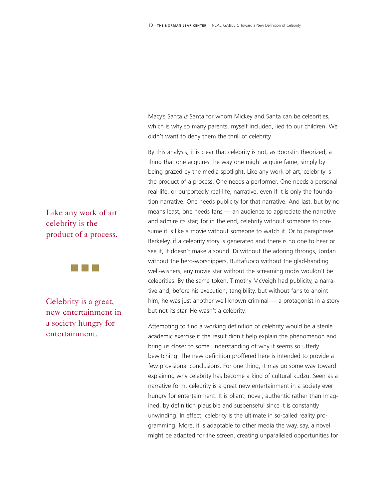Macy's Santa *is* Santa for whom Mickey and Santa can be celebrities, which is why so many parents, myself included, lied to our children. We didn't want to deny them the thrill of celebrity.

By this analysis, it is clear that celebrity is not, as Boorstin theorized, a thing that one acquires the way one might acquire fame, simply by being grazed by the media spotlight. Like any work of art, celebrity is the product of a process. One needs a performer. One needs a personal real-life, or purportedly real-life, narrative, even if it is only the foundation narrative. One needs publicity for that narrative. And last, but by no means least, one needs fans — an audience to appreciate the narrative and admire its star; for in the end, celebrity without someone to consume it is like a movie without someone to watch it. Or to paraphrase Berkeley, if a celebrity story is generated and there is no one to hear or see it, it doesn't make a sound. Di without the adoring throngs, Jordan without the hero-worshippers, Buttafuoco without the glad-handing well-wishers, any movie star without the screaming mobs wouldn't be celebrities. By the same token, Timothy McVeigh had publicity, a narrative and, before his execution, tangibility, but without fans to anoint him, he was just another well-known criminal — a protagonist in a story but not its star. He wasn't a celebrity.

Attempting to find a working definition of celebrity would be a sterile academic exercise if the result didn't help explain the phenomenon and bring us closer to some understanding of why it seems so utterly bewitching. The new definition proffered here is intended to provide a few provisional conclusions. For one thing, it may go some way toward explaining why celebrity has become a kind of cultural kudzu. Seen as a narrative form, celebrity is a great new entertainment in a society ever hungry for entertainment. It is pliant, novel, authentic rather than imagined, by definition plausible and suspenseful since it is constantly unwinding. In effect, celebrity is the ultimate in so-called reality programming. More, it is adaptable to other media the way, say, a novel might be adapted for the screen, creating unparalleled opportunities for

Like any work of art celebrity is the product of a process.



Celebrity is a great, new entertainment in a society hungry for entertainment.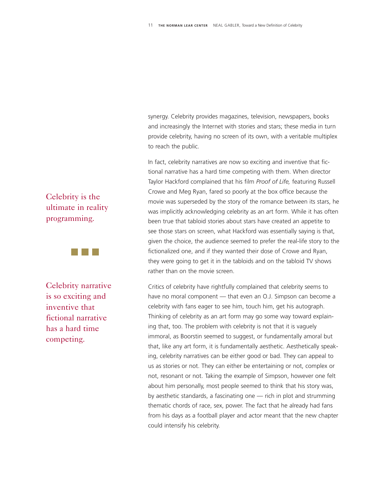synergy. Celebrity provides magazines, television, newspapers, books and increasingly the Internet with stories and stars; these media in turn provide celebrity, having no screen of its own, with a veritable multiplex to reach the public.

In fact, celebrity narratives are now so exciting and inventive that fictional narrative has a hard time competing with them. When director Taylor Hackford complained that his film *Proof of Life,* featuring Russell Crowe and Meg Ryan, fared so poorly at the box office because the movie was superseded by the story of the romance between its stars, he was implicitly acknowledging celebrity as an art form. While it has often been true that tabloid stories about stars have created an appetite to see those stars on screen, what Hackford was essentially saying is that, given the choice, the audience seemed to prefer the real-life story to the fictionalized one, and if they wanted their dose of Crowe and Ryan, they were going to get it in the tabloids and on the tabloid TV shows rather than on the movie screen.

Critics of celebrity have rightfully complained that celebrity seems to have no moral component - that even an O.J. Simpson can become a celebrity with fans eager to see him, touch him, get his autograph. Thinking of celebrity as an art form may go some way toward explaining that, too. The problem with celebrity is not that it is vaguely immoral, as Boorstin seemed to suggest, or fundamentally amoral but that, like any art form, it is fundamentally aesthetic. Aesthetically speaking, celebrity narratives can be either good or bad. They can appeal to us as stories or not. They can either be entertaining or not, complex or not, resonant or not. Taking the example of Simpson, however one felt about him personally, most people seemed to think that his story was, by aesthetic standards, a fascinating one — rich in plot and strumming thematic chords of race, sex, power. The fact that he already had fans from his days as a football player and actor meant that the new chapter could intensify his celebrity.

## Celebrity is the ultimate in reality programming.



Celebrity narrative is so exciting and inventive that fictional narrative has a hard time competing.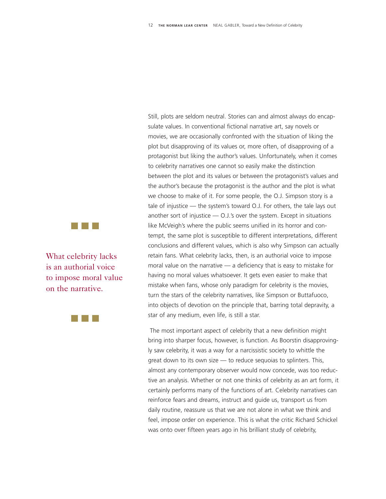**Tara** 

What celebrity lacks is an authorial voice to impose moral value on the narrative.

Still, plots are seldom neutral. Stories can and almost always do encapsulate values. In conventional fictional narrative art, say novels or movies, we are occasionally confronted with the situation of liking the plot but disapproving of its values or, more often, of disapproving of a protagonist but liking the author's values. Unfortunately, when it comes to celebrity narratives one cannot so easily make the distinction between the plot and its values or between the protagonist's values and the author's because the protagonist is the author and the plot is what we choose to make of it. For some people, the O.J. Simpson story is a tale of injustice — the system's toward O.J. For others, the tale lays out another sort of injustice  $-$  0.J.'s over the system. Except in situations like McVeigh's where the public seems unified in its horror and contempt, the same plot is susceptible to different interpretations, different conclusions and different values, which is also why Simpson can actually retain fans. What celebrity lacks, then, is an authorial voice to impose moral value on the narrative — a deficiency that is easy to mistake for having no moral values whatsoever. It gets even easier to make that mistake when fans, whose only paradigm for celebrity is the movies, turn the stars of the celebrity narratives, like Simpson or Buttafuoco, into objects of devotion on the principle that, barring total depravity, a star of any medium, even life, is still a star.

The most important aspect of celebrity that a new definition might bring into sharper focus, however, is function. As Boorstin disapprovingly saw celebrity, it was a way for a narcissistic society to whittle the great down to its own size — to reduce sequoias to splinters. This, almost any contemporary observer would now concede, was too reductive an analysis. Whether or not one thinks of celebrity as an art form, it certainly performs many of the functions of art. Celebrity narratives can reinforce fears and dreams, instruct and guide us, transport us from daily routine, reassure us that we are not alone in what we think and feel, impose order on experience. This is what the critic Richard Schickel was onto over fifteen years ago in his brilliant study of celebrity,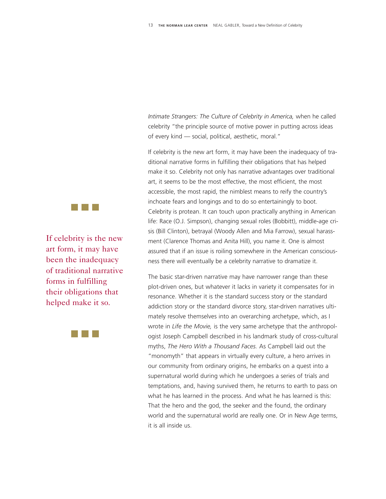*Intimate Strangers: The Culture of Celebrity in America,* when he called celebrity "the principle source of motive power in putting across ideas of every kind — social, political, aesthetic, moral."

If celebrity is the new art form, it may have been the inadequacy of traditional narrative forms in fulfilling their obligations that has helped make it so. Celebrity not only has narrative advantages over traditional art, it seems to be the most effective, the most efficient, the most accessible, the most rapid, the nimblest means to reify the country's inchoate fears and longings and to do so entertainingly to boot. Celebrity is protean. It can touch upon practically anything in American life: Race (O.J. Simpson), changing sexual roles (Bobbitt), middle-age crisis (Bill Clinton), betrayal (Woody Allen and Mia Farrow), sexual harassment (Clarence Thomas and Anita Hill), you name it. One is almost assured that if an issue is roiling somewhere in the American consciousness there will eventually be a celebrity narrative to dramatize it.

The basic star-driven narrative may have narrower range than these plot-driven ones, but whatever it lacks in variety it compensates for in resonance. Whether it is the standard success story or the standard addiction story or the standard divorce story, star-driven narratives ultimately resolve themselves into an overarching archetype, which, as I wrote in *Life the Movie,* is the very same archetype that the anthropologist Joseph Campbell described in his landmark study of cross-cultural myths, *The Hero With a Thousand Faces.* As Campbell laid out the "monomyth" that appears in virtually every culture, a hero arrives in our community from ordinary origins, he embarks on a quest into a supernatural world during which he undergoes a series of trials and temptations, and, having survived them, he returns to earth to pass on what he has learned in the process. And what he has learned is this: That the hero and the god, the seeker and the found, the ordinary world and the supernatural world are really one. Or in New Age terms, it is all inside us.



If celebrity is the new art form, it may have been the inadequacy of traditional narrative forms in fulfilling their obligations that helped make it so.

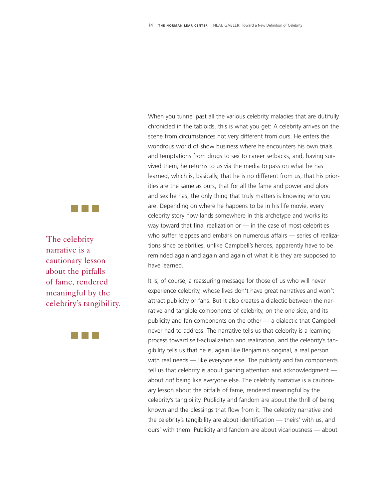The celebrity narrative is a cautionary lesson about the pitfalls of fame, rendered meaningful by the celebrity's tangibility.



When you tunnel past all the various celebrity maladies that are dutifully chronicled in the tabloids, this is what you get: A celebrity arrives on the scene from circumstances not very different from ours. He enters the wondrous world of show business where he encounters his own trials and temptations from drugs to sex to career setbacks, and, having survived them, he returns to us via the media to pass on what he has learned, which is, basically, that he is no different from us, that his priorities are the same as ours, that for all the fame and power and glory and sex he has, the only thing that truly matters is knowing who you are. Depending on where he happens to be in his life movie, every celebrity story now lands somewhere in this archetype and works its way toward that final realization or — in the case of most celebrities who suffer relapses and embark on numerous affairs — series of realizations since celebrities, unlike Campbell's heroes, apparently have to be reminded again and again and again of what it is they are supposed to have learned.

It is, of course, a reassuring message for those of us who will never experience celebrity, whose lives don't have great narratives and won't attract publicity or fans. But it also creates a dialectic between the narrative and tangible components of celebrity, on the one side, and its publicity and fan components on the other — a dialectic that Campbell never had to address. The narrative tells us that celebrity is a learning process toward self-actualization and realization, and the celebrity's tangibility tells us that he is, again like Benjamin's original, a real person with real needs — like everyone else. The publicity and fan components tell us that celebrity is about gaining attention and acknowledgment about *not* being like everyone else. The celebrity narrative is a cautionary lesson about the pitfalls of fame, rendered meaningful by the celebrity's tangibility. Publicity and fandom are about the thrill of being known and the blessings that flow from it. The celebrity narrative and the celebrity's tangibility are about identification — theirs' with us, and ours' with them. Publicity and fandom are about vicariousness — about